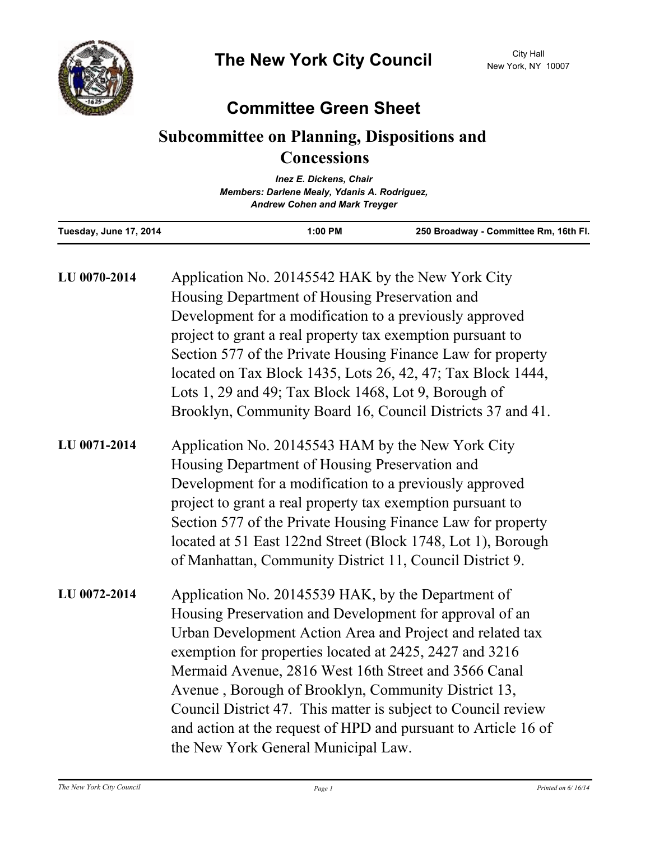

## **Committee Green Sheet**

## **Subcommittee on Planning, Dispositions and Concessions**

|                        | <b>Inez E. Dickens, Chair</b>                                                        |                                       |
|------------------------|--------------------------------------------------------------------------------------|---------------------------------------|
|                        | Members: Darlene Mealy, Ydanis A. Rodriguez,<br><b>Andrew Cohen and Mark Treyger</b> |                                       |
| Tuesday, June 17, 2014 | $1:00$ PM                                                                            | 250 Broadway - Committee Rm, 16th Fl. |
|                        |                                                                                      |                                       |

| LU 0070-2014 | Application No. 20145542 HAK by the New York City<br>Housing Department of Housing Preservation and<br>Development for a modification to a previously approved<br>project to grant a real property tax exemption pursuant to<br>Section 577 of the Private Housing Finance Law for property<br>located on Tax Block 1435, Lots 26, 42, 47; Tax Block 1444,<br>Lots 1, 29 and 49; Tax Block 1468, Lot 9, Borough of<br>Brooklyn, Community Board 16, Council Districts 37 and 41.                                               |
|--------------|--------------------------------------------------------------------------------------------------------------------------------------------------------------------------------------------------------------------------------------------------------------------------------------------------------------------------------------------------------------------------------------------------------------------------------------------------------------------------------------------------------------------------------|
| LU 0071-2014 | Application No. 20145543 HAM by the New York City<br>Housing Department of Housing Preservation and<br>Development for a modification to a previously approved<br>project to grant a real property tax exemption pursuant to<br>Section 577 of the Private Housing Finance Law for property<br>located at 51 East 122nd Street (Block 1748, Lot 1), Borough<br>of Manhattan, Community District 11, Council District 9.                                                                                                        |
| LU 0072-2014 | Application No. 20145539 HAK, by the Department of<br>Housing Preservation and Development for approval of an<br>Urban Development Action Area and Project and related tax<br>exemption for properties located at 2425, 2427 and 3216<br>Mermaid Avenue, 2816 West 16th Street and 3566 Canal<br>Avenue, Borough of Brooklyn, Community District 13,<br>Council District 47. This matter is subject to Council review<br>and action at the request of HPD and pursuant to Article 16 of<br>the New York General Municipal Law. |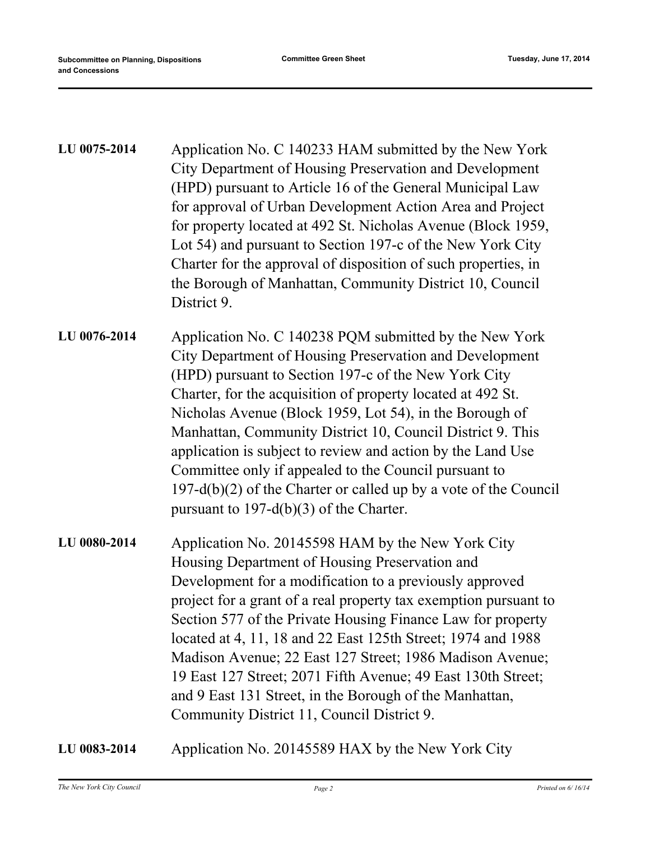| LU 0075-2014 | Application No. C 140233 HAM submitted by the New York<br>City Department of Housing Preservation and Development<br>(HPD) pursuant to Article 16 of the General Municipal Law<br>for approval of Urban Development Action Area and Project<br>for property located at 492 St. Nicholas Avenue (Block 1959,<br>Lot 54) and pursuant to Section 197-c of the New York City<br>Charter for the approval of disposition of such properties, in<br>the Borough of Manhattan, Community District 10, Council<br>District 9.                                                                                     |
|--------------|------------------------------------------------------------------------------------------------------------------------------------------------------------------------------------------------------------------------------------------------------------------------------------------------------------------------------------------------------------------------------------------------------------------------------------------------------------------------------------------------------------------------------------------------------------------------------------------------------------|
| LU 0076-2014 | Application No. C 140238 PQM submitted by the New York<br>City Department of Housing Preservation and Development<br>(HPD) pursuant to Section 197-c of the New York City<br>Charter, for the acquisition of property located at 492 St.<br>Nicholas Avenue (Block 1959, Lot 54), in the Borough of<br>Manhattan, Community District 10, Council District 9. This<br>application is subject to review and action by the Land Use<br>Committee only if appealed to the Council pursuant to<br>$197-d(b)(2)$ of the Charter or called up by a vote of the Council<br>pursuant to 197-d(b)(3) of the Charter. |
| LU 0080-2014 | Application No. 20145598 HAM by the New York City<br>Housing Department of Housing Preservation and<br>Development for a modification to a previously approved<br>project for a grant of a real property tax exemption pursuant to<br>Section 577 of the Private Housing Finance Law for property<br>located at 4, 11, 18 and 22 East 125th Street; 1974 and 1988<br>Madison Avenue; 22 East 127 Street; 1986 Madison Avenue;<br>19 East 127 Street; 2071 Fifth Avenue; 49 East 130th Street;<br>and 9 East 131 Street, in the Borough of the Manhattan,<br>Community District 11, Council District 9.     |

**LU 0083-2014** Application No. 20145589 HAX by the New York City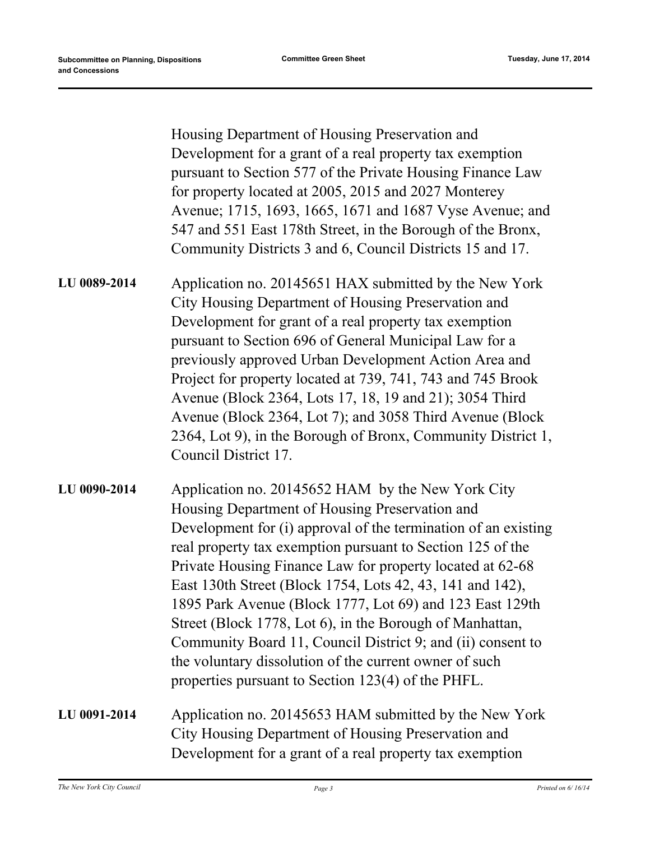Housing Department of Housing Preservation and Development for a grant of a real property tax exemption pursuant to Section 577 of the Private Housing Finance Law for property located at 2005, 2015 and 2027 Monterey Avenue; 1715, 1693, 1665, 1671 and 1687 Vyse Avenue; and 547 and 551 East 178th Street, in the Borough of the Bronx, Community Districts 3 and 6, Council Districts 15 and 17.

Application no. 20145651 HAX submitted by the New York City Housing Department of Housing Preservation and Development for grant of a real property tax exemption pursuant to Section 696 of General Municipal Law for a previously approved Urban Development Action Area and Project for property located at 739, 741, 743 and 745 Brook Avenue (Block 2364, Lots 17, 18, 19 and 21); 3054 Third Avenue (Block 2364, Lot 7); and 3058 Third Avenue (Block 2364, Lot 9), in the Borough of Bronx, Community District 1, Council District 17. **LU 0089-2014**

Application no. 20145652 HAM by the New York City Housing Department of Housing Preservation and Development for (i) approval of the termination of an existing real property tax exemption pursuant to Section 125 of the Private Housing Finance Law for property located at 62-68 East 130th Street (Block 1754, Lots 42, 43, 141 and 142), 1895 Park Avenue (Block 1777, Lot 69) and 123 East 129th Street (Block 1778, Lot 6), in the Borough of Manhattan, Community Board 11, Council District 9; and (ii) consent to the voluntary dissolution of the current owner of such properties pursuant to Section 123(4) of the PHFL. **LU 0090-2014**

Application no. 20145653 HAM submitted by the New York City Housing Department of Housing Preservation and Development for a grant of a real property tax exemption **LU 0091-2014**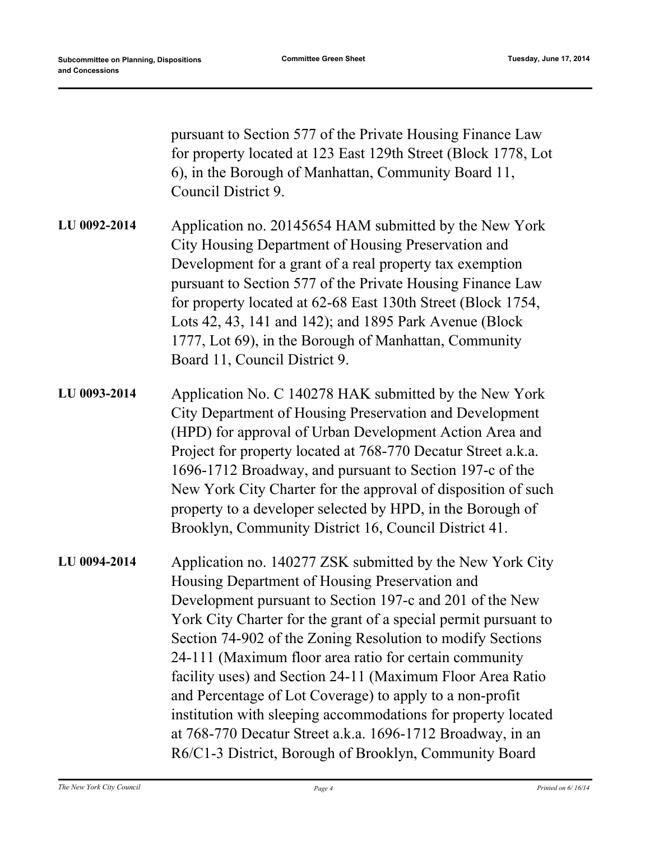pursuant to Section 577 of the Private Housing Finance Law for property located at 123 East 129th Street (Block 1778, Lot 6), in the Borough of Manhattan, Community Board 11, Council District 9.

- Application no. 20145654 HAM submitted by the New York City Housing Department of Housing Preservation and Development for a grant of a real property tax exemption pursuant to Section 577 of the Private Housing Finance Law for property located at 62-68 East 130th Street (Block 1754, Lots 42, 43, 141 and 142); and 1895 Park Avenue (Block 1777, Lot 69), in the Borough of Manhattan, Community Board 11, Council District 9. **LU 0092-2014**
- Application No. C 140278 HAK submitted by the New York City Department of Housing Preservation and Development (HPD) for approval of Urban Development Action Area and Project for property located at 768-770 Decatur Street a.k.a. 1696-1712 Broadway, and pursuant to Section 197-c of the New York City Charter for the approval of disposition of such property to a developer selected by HPD, in the Borough of Brooklyn, Community District 16, Council District 41. **LU 0093-2014**
- Application no. 140277 ZSK submitted by the New York City Housing Department of Housing Preservation and Development pursuant to Section 197-c and 201 of the New York City Charter for the grant of a special permit pursuant to Section 74-902 of the Zoning Resolution to modify Sections 24-111 (Maximum floor area ratio for certain community facility uses) and Section 24-11 (Maximum Floor Area Ratio and Percentage of Lot Coverage) to apply to a non-profit institution with sleeping accommodations for property located at 768-770 Decatur Street a.k.a. 1696-1712 Broadway, in an R6/C1-3 District, Borough of Brooklyn, Community Board **LU 0094-2014**